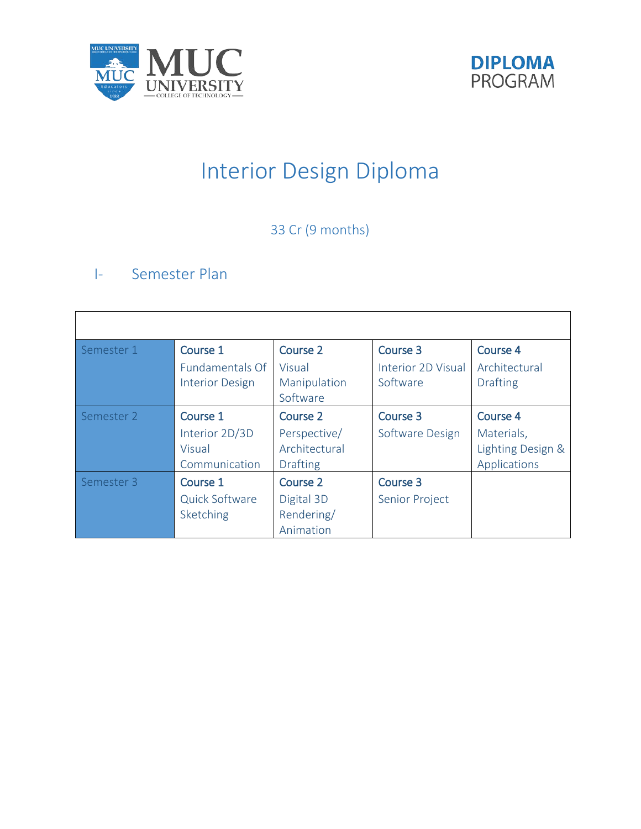



# Interior Design Diploma

# 33 Cr (9 months)

# I- Semester Plan

| Semester 1 | Course 1               | Course 2        | Course 3                  | <b>Course 4</b>   |
|------------|------------------------|-----------------|---------------------------|-------------------|
|            | <b>Fundamentals Of</b> | Visual          | <b>Interior 2D Visual</b> | Architectural     |
|            | <b>Interior Design</b> | Manipulation    | Software                  | <b>Drafting</b>   |
|            |                        | Software        |                           |                   |
| Semester 2 | Course 1               | <b>Course 2</b> | Course 3                  | <b>Course 4</b>   |
|            | Interior 2D/3D         | Perspective/    | Software Design           | Materials,        |
|            | Visual                 | Architectural   |                           | Lighting Design & |
|            | Communication          | <b>Drafting</b> |                           | Applications      |
| Semester 3 | Course 1               | Course 2        | Course 3                  |                   |
|            | Quick Software         | Digital 3D      | Senior Project            |                   |
|            | Sketching              | Rendering/      |                           |                   |
|            |                        | Animation       |                           |                   |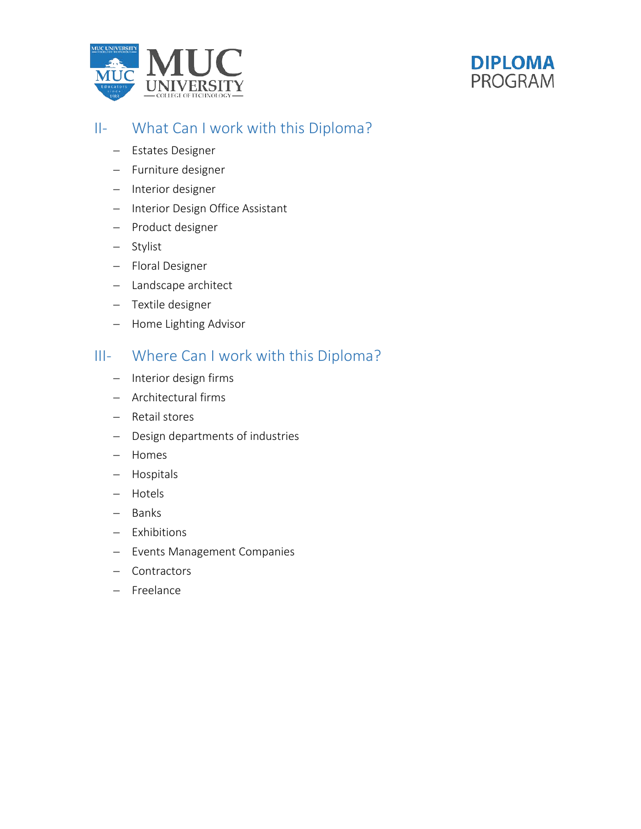



# II- What Can I work with this Diploma?

- − Estates Designer
- − Furniture designer
- − Interior designer
- − Interior Design Office Assistant
- − Product designer
- − Stylist
- − Floral Designer
- − Landscape architect
- − Textile designer
- − Home Lighting Advisor

# III- Where Can I work with this Diploma?

- − Interior design firms
- − Architectural firms
- − Retail stores
- − Design departments of industries
- − Homes
- − Hospitals
- − Hotels
- − Banks
- − Exhibitions
- − Events Management Companies
- − Contractors
- − Freelance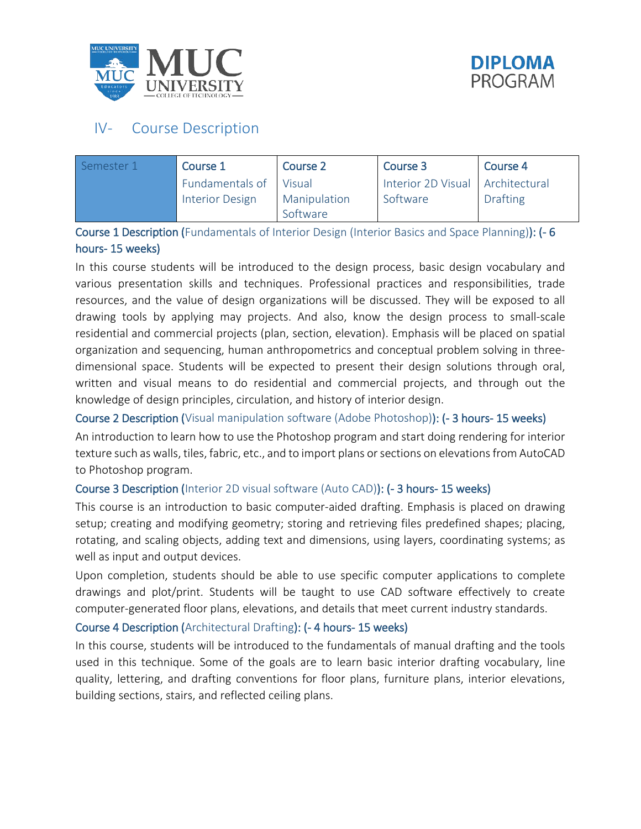



# IV- Course Description

| Semester 1 | Course 1               | Course 2     | Course 3                           | Course 4        |
|------------|------------------------|--------------|------------------------------------|-----------------|
|            | Fundamentals of Visual |              | Interior 2D Visual   Architectural |                 |
|            | <b>Interior Design</b> | Manipulation | Software                           | <b>Drafting</b> |
|            |                        | Software     |                                    |                 |

## Course 1 Description (Fundamentals of Interior Design (Interior Basics and Space Planning)): (- 6 hours- 15 weeks)

In this course students will be introduced to the design process, basic design vocabulary and various presentation skills and techniques. Professional practices and responsibilities, trade resources, and the value of design organizations will be discussed. They will be exposed to all drawing tools by applying may projects. And also, know the design process to small-scale residential and commercial projects (plan, section, elevation). Emphasis will be placed on spatial organization and sequencing, human anthropometrics and conceptual problem solving in threedimensional space. Students will be expected to present their design solutions through oral, written and visual means to do residential and commercial projects, and through out the knowledge of design principles, circulation, and history of interior design.

## Course 2 Description (Visual manipulation software (Adobe Photoshop)): (- 3 hours- 15 weeks)

An introduction to learn how to use the Photoshop program and start doing rendering for interior texture such as walls, tiles, fabric, etc., and to import plans or sections on elevations from AutoCAD to Photoshop program.

## Course 3 Description (Interior 2D visual software (Auto CAD)): (- 3 hours- 15 weeks)

This course is an introduction to basic computer-aided drafting. Emphasis is placed on drawing setup; creating and modifying geometry; storing and retrieving files predefined shapes; placing, rotating, and scaling objects, adding text and dimensions, using layers, coordinating systems; as well as input and output devices.

Upon completion, students should be able to use specific computer applications to complete drawings and plot/print. Students will be taught to use CAD software effectively to create computer-generated floor plans, elevations, and details that meet current industry standards.

#### Course 4 Description (Architectural Drafting): (- 4 hours- 15 weeks)

In this course, students will be introduced to the fundamentals of manual drafting and the tools used in this technique. Some of the goals are to learn basic interior drafting vocabulary, line quality, lettering, and drafting conventions for floor plans, furniture plans, interior elevations, building sections, stairs, and reflected ceiling plans.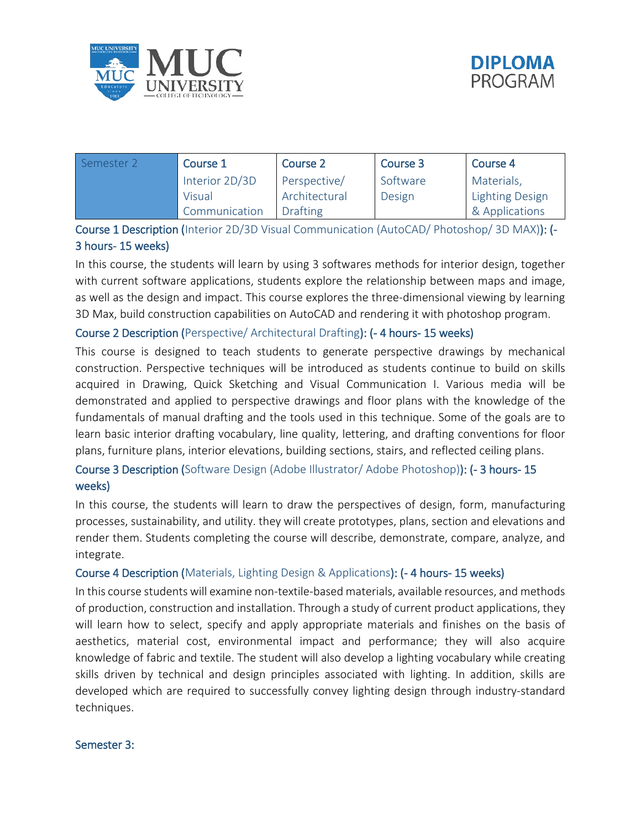



| Semester 2 | Course 1       | Course 2        | Course 3 | Course 4               |
|------------|----------------|-----------------|----------|------------------------|
|            | Interior 2D/3D | Perspective/    | Software | Materials,             |
|            | Visual         | Architectural   | Design   | <b>Lighting Design</b> |
|            | Communication  | <b>Drafting</b> |          | & Applications         |

Course 1 Description (Interior 2D/3D Visual Communication (AutoCAD/ Photoshop/ 3D MAX)): (- 3 hours- 15 weeks)

In this course, the students will learn by using 3 softwares methods for interior design, together with current software applications, students explore the relationship between maps and image, as well as the design and impact. This course explores the three-dimensional viewing by learning 3D Max, build construction capabilities on AutoCAD and rendering it with photoshop program.

#### Course 2 Description (Perspective/ Architectural Drafting): (- 4 hours- 15 weeks)

This course is designed to teach students to generate perspective drawings by mechanical construction. Perspective techniques will be introduced as students continue to build on skills acquired in Drawing, Quick Sketching and Visual Communication I. Various media will be demonstrated and applied to perspective drawings and floor plans with the knowledge of the fundamentals of manual drafting and the tools used in this technique. Some of the goals are to learn basic interior drafting vocabulary, line quality, lettering, and drafting conventions for floor plans, furniture plans, interior elevations, building sections, stairs, and reflected ceiling plans.

## Course 3 Description (Software Design (Adobe Illustrator/ Adobe Photoshop)): (- 3 hours- 15 weeks)

In this course, the students will learn to draw the perspectives of design, form, manufacturing processes, sustainability, and utility. they will create prototypes, plans, section and elevations and render them. Students completing the course will describe, demonstrate, compare, analyze, and integrate.

#### Course 4 Description (Materials, Lighting Design & Applications): (- 4 hours- 15 weeks)

In this course students will examine non-textile-based materials, available resources, and methods of production, construction and installation. Through a study of current product applications, they will learn how to select, specify and apply appropriate materials and finishes on the basis of aesthetics, material cost, environmental impact and performance; they will also acquire knowledge of fabric and textile. The student will also develop a lighting vocabulary while creating skills driven by technical and design principles associated with lighting. In addition, skills are developed which are required to successfully convey lighting design through industry-standard techniques.

#### Semester 3: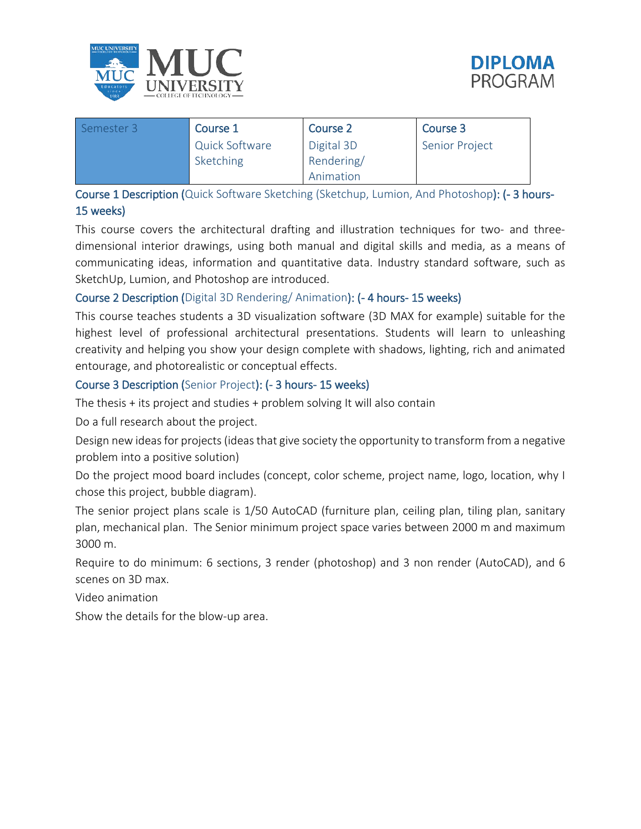



| Semester 3 | Course 1              | Course 2   | Course 3              |
|------------|-----------------------|------------|-----------------------|
|            | <b>Quick Software</b> | Digital 3D | <b>Senior Project</b> |
|            | Sketching             | Rendering/ |                       |
|            |                       | Animation  |                       |

Course 1 Description (Quick Software Sketching (Sketchup, Lumion, And Photoshop): (- 3 hours-15 weeks)

This course covers the architectural drafting and illustration techniques for two- and threedimensional interior drawings, using both manual and digital skills and media, as a means of communicating ideas, information and quantitative data. Industry standard software, such as SketchUp, Lumion, and Photoshop are introduced.

## Course 2 Description (Digital 3D Rendering/ Animation): (- 4 hours- 15 weeks)

This course teaches students a 3D visualization software (3D MAX for example) suitable for the highest level of professional architectural presentations. Students will learn to unleashing creativity and helping you show your design complete with shadows, lighting, rich and animated entourage, and photorealistic or conceptual effects.

#### Course 3 Description (Senior Project): (- 3 hours- 15 weeks)

The thesis + its project and studies + problem solving It will also contain

Do a full research about the project.

Design new ideas for projects (ideas that give society the opportunity to transform from a negative problem into a positive solution)

Do the project mood board includes (concept, color scheme, project name, logo, location, why I chose this project, bubble diagram).

The senior project plans scale is 1/50 AutoCAD (furniture plan, ceiling plan, tiling plan, sanitary plan, mechanical plan. The Senior minimum project space varies between 2000 m and maximum 3000 m.

Require to do minimum: 6 sections, 3 render (photoshop) and 3 non render (AutoCAD), and 6 scenes on 3D max.

Video animation

Show the details for the blow-up area.